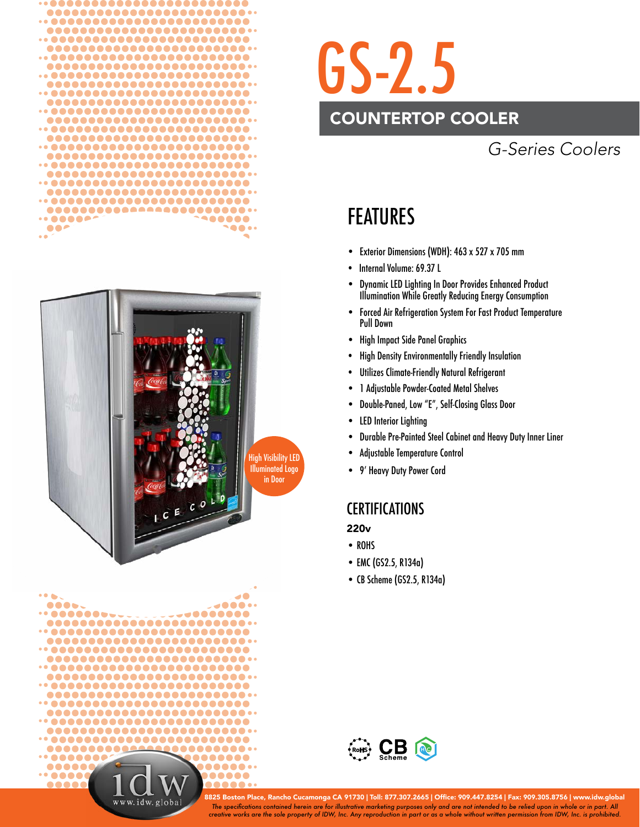





# GS-2.5

## COUNTERTOP COOLER

## *G-Series Coolers*

## FEATURES

- Exterior Dimensions (WDH): 463 x 527 x 705 mm
- Internal Volume: 69.37 L
- Dynamic LED Lighting In Door Provides Enhanced Product Illumination While Greatly Reducing Energy Consumption
- Forced Air Refrigeration System For Fast Product Temperature Pull Down
- High Impact Side Panel Graphics
- High Density Environmentally Friendly Insulation
- Utilizes Climate-Friendly Natural Refrigerant
- 1 Adjustable Powder-Coated Metal Shelves
- Double-Paned, Low "E", Self-Closing Glass Door
- LED Interior Lighting
- Durable Pre-Painted Steel Cabinet and Heavy Duty Inner Liner
- Adjustable Temperature Control
- 9' Heavy Duty Power Cord

### **CERTIFICATIONS**

- 220v
- ROHS
- EMC (GS2.5, R134a)
- CB Scheme (GS2.5, R134a)



*The specifi cations contained herein are for illustrative marketing purposes only and are not intended to be relied upon in whole or in part. All creative works are the sole property of IDW, Inc. Any reproduction in part or as a whole without written permission from IDW, Inc. is prohibited.* 8825 Boston Place, Rancho Cucamonga CA 91730 | Toll: 877.307.2665 | Office: 909.447.8254 | Fax: 909.305.8756 | www.idw.global